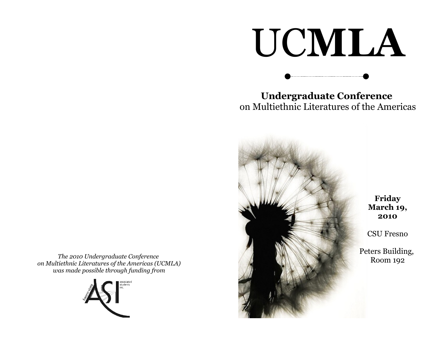# UC**MLA**

**Undergraduate Conference**  on Multiethnic Literatures of the Americas



*The 2010 Undergraduate Conference on Multiethnic Literatures of the Americas (UCMLA) was made possible through funding from*